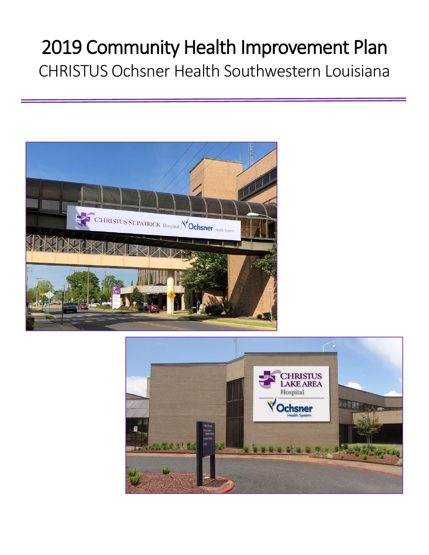# 2019 Community Health Improvement Plan CHRISTUS Ochsner Health Southwestern Louisiana



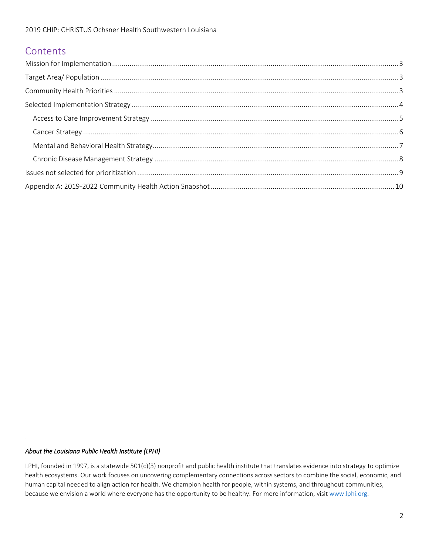## **Contents**

#### *About the Louisiana Public Health Institute (LPHI)*

LPHI, founded in 1997, is a statewide 501(c)(3) nonprofit and public health institute that translates evidence into strategy to optimize health ecosystems. Our work focuses on uncovering complementary connections across sectors to combine the social, economic, and human capital needed to align action for health. We champion health for people, within systems, and throughout communities, because we envision a world where everyone has the opportunity to be healthy. For more information, visit www.lphi.org.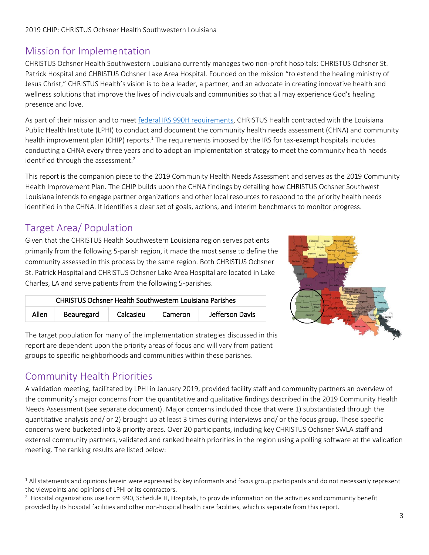# Mission for Implementation

CHRISTUS Ochsner Health Southwestern Louisiana currently manages two non-profit hospitals: CHRISTUS Ochsner St. Patrick Hospital and CHRISTUS Ochsner Lake Area Hospital. Founded on the mission "to extend the healing ministry of Jesus Christ," CHRISTUS Health's vision is to be a leader, a partner, and an advocate in creating innovative health and wellness solutions that improve the lives of individuals and communities so that all may experience God's healing presence and love.

As part of their mission and to meet [federal IRS 990H requirements,](https://www.irs.gov/forms-pubs/about-schedule-h-form-990) CHRISTUS Health contracted with the Louisiana Public Health Institute (LPHI) to conduct and document the community health needs assessment (CHNA) and community health improvement plan (CHIP) reports.<sup>1</sup> The requirements imposed by the IRS for tax-exempt hospitals includes conducting a CHNA every three years and to adopt an implementation strategy to meet the community health needs identified through the assessment.<sup>2</sup>

This report is the companion piece to the 2019 Community Health Needs Assessment and serves as the 2019 Community Health Improvement Plan. The CHIP builds upon the CHNA findings by detailing how CHRISTUS Ochsner Southwest Louisiana intends to engage partner organizations and other local resources to respond to the priority health needs identified in the CHNA. It identifies a clear set of goals, actions, and interim benchmarks to monitor progress.

# Target Area/ Population

Given that the CHRISTUS Health Southwestern Louisiana region serves patients primarily from the following 5-parish region, it made the most sense to define the community assessed in this process by the same region. Both CHRISTUS Ochsner St. Patrick Hospital and CHRISTUS Ochsner Lake Area Hospital are located in Lake Charles, LA and serve patients from the following 5-parishes.



The target population for many of the implementation strategies discussed in this report are dependent upon the priority areas of focus and will vary from patient groups to specific neighborhoods and communities within these parishes.

CHRISTUS Ochsner Health Southwestern Louisiana Parishes

Allen Beauregard | Calcasieu | Cameron | Jefferson Davis

# Community Health Priorities

A validation meeting, facilitated by LPHI in January 2019, provided facility staff and community partners an overview of the community's major concerns from the quantitative and qualitative findings described in the 2019 Community Health Needs Assessment (see separate document). Major concerns included those that were 1) substantiated through the quantitative analysis and/ or 2) brought up at least 3 times during interviews and/ or the focus group. These specific concerns were bucketed into 8 priority areas. Over 20 participants, including key CHRISTUS Ochsner SWLA staff and external community partners, validated and ranked health priorities in the region using a polling software at the validation meeting. The ranking results are listed below:

 $\overline{\phantom{a}}$ <sup>1</sup> All statements and opinions herein were expressed by key informants and focus group participants and do not necessarily represent the viewpoints and opinions of LPHI or its contractors.

 $2$  Hospital organizations use Form 990, Schedule H, Hospitals, to provide information on the activities and community benefit provided by its hospital facilities and other non-hospital health care facilities, which is separate from this report.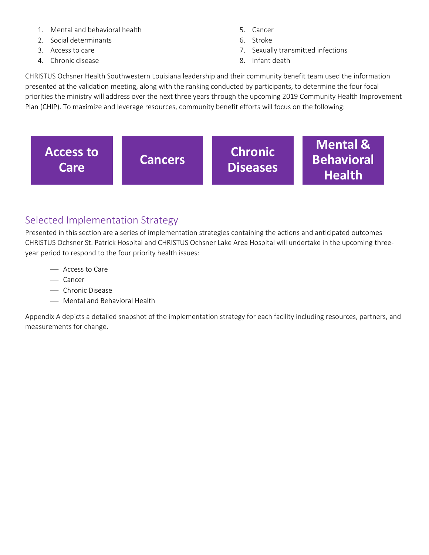- 1. Mental and behavioral health
- 2. Social determinants
- 3. Access to care
- 4. Chronic disease
- 5. Cancer
- 6. Stroke
- 7. Sexually transmitted infections
- 8. Infant death

CHRISTUS Ochsner Health Southwestern Louisiana leadership and their community benefit team used the information presented at the validation meeting, along with the ranking conducted by participants, to determine the four focal priorities the ministry will address over the next three years through the upcoming 2019 Community Health Improvement Plan (CHIP). To maximize and leverage resources, community benefit efforts will focus on the following:



# Selected Implementation Strategy

Presented in this section are a series of implementation strategies containing the actions and anticipated outcomes CHRISTUS Ochsner St. Patrick Hospital and CHRISTUS Ochsner Lake Area Hospital will undertake in the upcoming threeyear period to respond to the four priority health issues:

- Access to Care
- Cancer
- Chronic Disease
- Mental and Behavioral Health

Appendix A depicts a detailed snapshot of the implementation strategy for each facility including resources, partners, and measurements for change.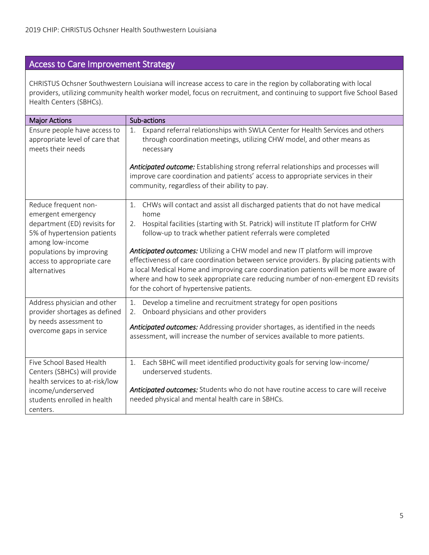# Access to Care Improvement Strategy

CHRISTUS Ochsner Southwestern Louisiana will increase access to care in the region by collaborating with local providers, utilizing community health worker model, focus on recruitment, and continuing to support five School Based Health Centers (SBHCs).

| <b>Major Actions</b>                                                                                                                                                                                    | Sub-actions                                                                                                                                                                                                                                                                                                                                                                                                                                                                                                                                                                                                                                         |
|---------------------------------------------------------------------------------------------------------------------------------------------------------------------------------------------------------|-----------------------------------------------------------------------------------------------------------------------------------------------------------------------------------------------------------------------------------------------------------------------------------------------------------------------------------------------------------------------------------------------------------------------------------------------------------------------------------------------------------------------------------------------------------------------------------------------------------------------------------------------------|
| Ensure people have access to<br>appropriate level of care that<br>meets their needs                                                                                                                     | Expand referral relationships with SWLA Center for Health Services and others<br>1.<br>through coordination meetings, utilizing CHW model, and other means as<br>necessary<br>Anticipated outcome: Establishing strong referral relationships and processes will<br>improve care coordination and patients' access to appropriate services in their                                                                                                                                                                                                                                                                                                 |
|                                                                                                                                                                                                         | community, regardless of their ability to pay.                                                                                                                                                                                                                                                                                                                                                                                                                                                                                                                                                                                                      |
| Reduce frequent non-<br>emergent emergency<br>department (ED) revisits for<br>5% of hypertension patients<br>among low-income<br>populations by improving<br>access to appropriate care<br>alternatives | 1. CHWs will contact and assist all discharged patients that do not have medical<br>home<br>2. Hospital facilities (starting with St. Patrick) will institute IT platform for CHW<br>follow-up to track whether patient referrals were completed<br>Anticipated outcomes: Utilizing a CHW model and new IT platform will improve<br>effectiveness of care coordination between service providers. By placing patients with<br>a local Medical Home and improving care coordination patients will be more aware of<br>where and how to seek appropriate care reducing number of non-emergent ED revisits<br>for the cohort of hypertensive patients. |
| Address physician and other<br>provider shortages as defined<br>by needs assessment to<br>overcome gaps in service                                                                                      | Develop a timeline and recruitment strategy for open positions<br>1.<br>Onboard physicians and other providers<br>2.<br>Anticipated outcomes: Addressing provider shortages, as identified in the needs<br>assessment, will increase the number of services available to more patients.                                                                                                                                                                                                                                                                                                                                                             |
| Five School Based Health<br>Centers (SBHCs) will provide<br>health services to at-risk/low<br>income/underserved<br>students enrolled in health<br>centers.                                             | Each SBHC will meet identified productivity goals for serving low-income/<br>1.<br>underserved students.<br>Anticipated outcomes: Students who do not have routine access to care will receive<br>needed physical and mental health care in SBHCs.                                                                                                                                                                                                                                                                                                                                                                                                  |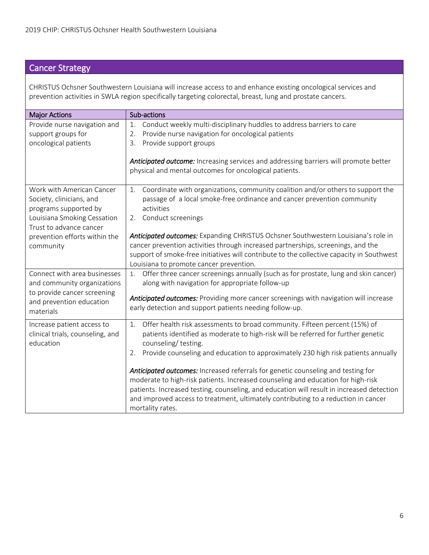# Cancer Strategy

CHRISTUS Ochsner Southwestern Louisiana will increase access to and enhance existing oncological services and prevention activities in SWLA region specifically targeting colorectal, breast, lung and prostate cancers.

| <b>Major Actions</b>             | Sub-actions                                                                                                                                                           |
|----------------------------------|-----------------------------------------------------------------------------------------------------------------------------------------------------------------------|
| Provide nurse navigation and     | Conduct weekly multi-disciplinary huddles to address barriers to care<br>1.                                                                                           |
| support groups for               | Provide nurse navigation for oncological patients<br>2.                                                                                                               |
| oncological patients             | Provide support groups<br>3.                                                                                                                                          |
|                                  | Anticipated outcome: Increasing services and addressing barriers will promote better<br>physical and mental outcomes for oncological patients.                        |
| Work with American Cancer        | Coordinate with organizations, community coalition and/or others to support the<br>1.                                                                                 |
| Society, clinicians, and         | passage of a local smoke-free ordinance and cancer prevention community                                                                                               |
| programs supported by            | activities                                                                                                                                                            |
| Louisiana Smoking Cessation      | 2. Conduct screenings                                                                                                                                                 |
| Trust to advance cancer          |                                                                                                                                                                       |
| prevention efforts within the    | Anticipated outcomes: Expanding CHRISTUS Ochsner Southwestern Louisiana's role in<br>cancer prevention activities through increased partnerships, screenings, and the |
| community                        | support of smoke-free initiatives will contribute to the collective capacity in Southwest                                                                             |
|                                  | Louisiana to promote cancer prevention.                                                                                                                               |
| Connect with area businesses     | Offer three cancer screenings annually (such as for prostate, lung and skin cancer)<br>1.                                                                             |
| and community organizations      | along with navigation for appropriate follow-up                                                                                                                       |
| to provide cancer screening      |                                                                                                                                                                       |
| and prevention education         | Anticipated outcomes: Providing more cancer screenings with navigation will increase<br>early detection and support patients needing follow-up.                       |
| materials                        |                                                                                                                                                                       |
| Increase patient access to       | Offer health risk assessments to broad community. Fifteen percent (15%) of<br>1.                                                                                      |
| clinical trials, counseling, and | patients identified as moderate to high-risk will be referred for further genetic                                                                                     |
| education                        | counseling/testing.                                                                                                                                                   |
|                                  | Provide counseling and education to approximately 230 high risk patients annually<br>2.                                                                               |
|                                  |                                                                                                                                                                       |
|                                  | Anticipated outcomes: Increased referrals for genetic counseling and testing for<br>moderate to high-risk patients. Increased counseling and education for high-risk  |
|                                  | patients. Increased testing, counseling, and education will result in increased detection                                                                             |
|                                  | and improved access to treatment, ultimately contributing to a reduction in cancer                                                                                    |
|                                  | mortality rates.                                                                                                                                                      |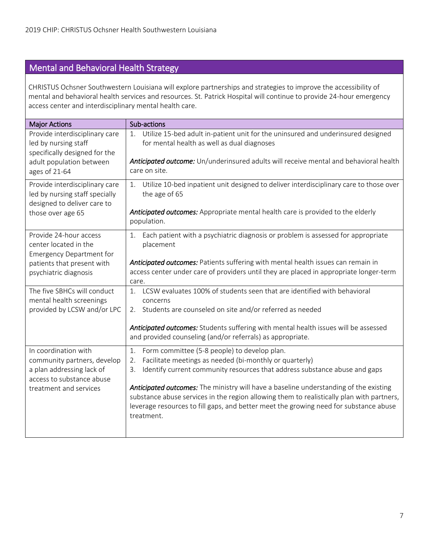# Mental and Behavioral Health Strategy

CHRISTUS Ochsner Southwestern Louisiana will explore partnerships and strategies to improve the accessibility of mental and behavioral health services and resources. St. Patrick Hospital will continue to provide 24-hour emergency access center and interdisciplinary mental health care.

| <b>Major Actions</b>                                                                    | Sub-actions                                                                                                                                                                                                                                                                               |
|-----------------------------------------------------------------------------------------|-------------------------------------------------------------------------------------------------------------------------------------------------------------------------------------------------------------------------------------------------------------------------------------------|
| Provide interdisciplinary care<br>led by nursing staff<br>specifically designed for the | Utilize 15-bed adult in-patient unit for the uninsured and underinsured designed<br>1.<br>for mental health as well as dual diagnoses                                                                                                                                                     |
| adult population between<br>ages of 21-64                                               | Anticipated outcome: Un/underinsured adults will receive mental and behavioral health<br>care on site.                                                                                                                                                                                    |
| Provide interdisciplinary care<br>led by nursing staff specially                        | Utilize 10-bed inpatient unit designed to deliver interdisciplinary care to those over<br>1.<br>the age of 65                                                                                                                                                                             |
| designed to deliver care to<br>those over age 65                                        | Anticipated outcomes: Appropriate mental health care is provided to the elderly<br>population.                                                                                                                                                                                            |
| Provide 24-hour access<br>center located in the<br><b>Emergency Department for</b>      | Each patient with a psychiatric diagnosis or problem is assessed for appropriate<br>1.<br>placement                                                                                                                                                                                       |
| patients that present with<br>psychiatric diagnosis                                     | Anticipated outcomes: Patients suffering with mental health issues can remain in<br>access center under care of providers until they are placed in appropriate longer-term<br>care.                                                                                                       |
| The five SBHCs will conduct<br>mental health screenings                                 | LCSW evaluates 100% of students seen that are identified with behavioral<br>$\mathbf{1}_{\cdot}$<br>concerns                                                                                                                                                                              |
| provided by LCSW and/or LPC                                                             | 2. Students are counseled on site and/or referred as needed                                                                                                                                                                                                                               |
|                                                                                         | Anticipated outcomes: Students suffering with mental health issues will be assessed<br>and provided counseling (and/or referrals) as appropriate.                                                                                                                                         |
| In coordination with                                                                    | Form committee (5-8 people) to develop plan.<br>1.                                                                                                                                                                                                                                        |
| community partners, develop<br>a plan addressing lack of<br>access to substance abuse   | Facilitate meetings as needed (bi-monthly or quarterly)<br>2.<br>Identify current community resources that address substance abuse and gaps<br>3.                                                                                                                                         |
| treatment and services                                                                  | Anticipated outcomes: The ministry will have a baseline understanding of the existing<br>substance abuse services in the region allowing them to realistically plan with partners,<br>leverage resources to fill gaps, and better meet the growing need for substance abuse<br>treatment. |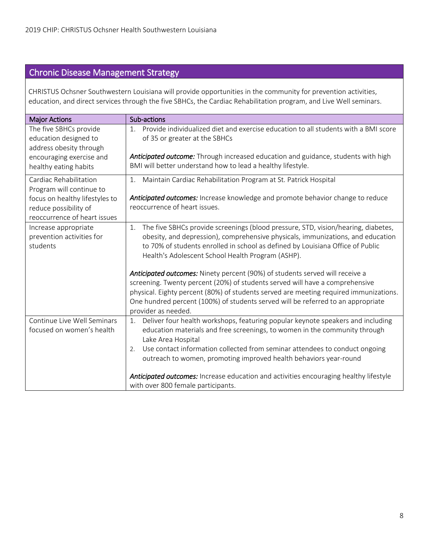### Chronic Disease Management Strategy

CHRISTUS Ochsner Southwestern Louisiana will provide opportunities in the community for prevention activities, education, and direct services through the five SBHCs, the Cardiac Rehabilitation program, and Live Well seminars.

| <b>Major Actions</b>                                                                    | Sub-actions                                                                                                                                                                                                                                                                                                                                                      |
|-----------------------------------------------------------------------------------------|------------------------------------------------------------------------------------------------------------------------------------------------------------------------------------------------------------------------------------------------------------------------------------------------------------------------------------------------------------------|
| The five SBHCs provide<br>education designed to<br>address obesity through              | Provide individualized diet and exercise education to all students with a BMI score<br>1 <sub>1</sub><br>of 35 or greater at the SBHCs                                                                                                                                                                                                                           |
| encouraging exercise and<br>healthy eating habits                                       | Anticipated outcome: Through increased education and guidance, students with high<br>BMI will better understand how to lead a healthy lifestyle.                                                                                                                                                                                                                 |
| Cardiac Rehabilitation<br>Program will continue to                                      | Maintain Cardiac Rehabilitation Program at St. Patrick Hospital<br>1.                                                                                                                                                                                                                                                                                            |
| focus on healthy lifestyles to<br>reduce possibility of<br>reoccurrence of heart issues | Anticipated outcomes: Increase knowledge and promote behavior change to reduce<br>reoccurrence of heart issues.                                                                                                                                                                                                                                                  |
| Increase appropriate<br>prevention activities for<br>students                           | The five SBHCs provide screenings (blood pressure, STD, vision/hearing, diabetes,<br>1.<br>obesity, and depression), comprehensive physicals, immunizations, and education<br>to 70% of students enrolled in school as defined by Louisiana Office of Public<br>Health's Adolescent School Health Program (ASHP).                                                |
|                                                                                         | Anticipated outcomes: Ninety percent (90%) of students served will receive a<br>screening. Twenty percent (20%) of students served will have a comprehensive<br>physical. Eighty percent (80%) of students served are meeting required immunizations.<br>One hundred percent (100%) of students served will be referred to an appropriate<br>provider as needed. |
| Continue Live Well Seminars<br>focused on women's health                                | Deliver four health workshops, featuring popular keynote speakers and including<br>1.<br>education materials and free screenings, to women in the community through<br>Lake Area Hospital<br>Use contact information collected from seminar attendees to conduct ongoing<br>2.                                                                                   |
|                                                                                         | outreach to women, promoting improved health behaviors year-round<br>Anticipated outcomes: Increase education and activities encouraging healthy lifestyle<br>with over 800 female participants.                                                                                                                                                                 |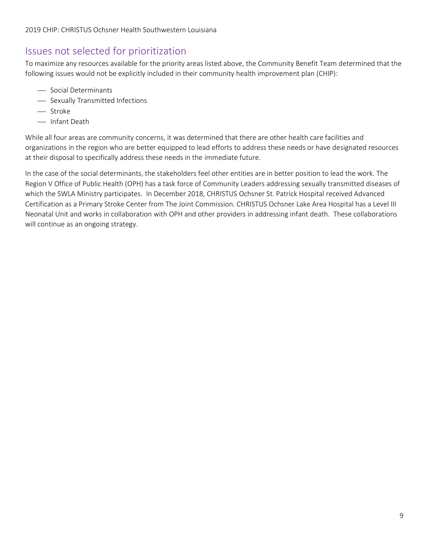# Issues not selected for prioritization

To maximize any resources available for the priority areas listed above, the Community Benefit Team determined that the following issues would not be explicitly included in their community health improvement plan (CHIP):

- Social Determinants
- Sexually Transmitted Infections
- Stroke
- Infant Death

While all four areas are community concerns, it was determined that there are other health care facilities and organizations in the region who are better equipped to lead efforts to address these needs or have designated resources at their disposal to specifically address these needs in the immediate future.

In the case of the social determinants, the stakeholders feel other entities are in better position to lead the work. The Region V Office of Public Health (OPH) has a task force of Community Leaders addressing sexually transmitted diseases of which the SWLA Ministry participates. In December 2018, CHRISTUS Ochsner St. Patrick Hospital received Advanced Certification as a Primary Stroke Center from The Joint Commission. CHRISTUS Ochsner Lake Area Hospital has a Level III Neonatal Unit and works in collaboration with OPH and other providers in addressing infant death. These collaborations will continue as an ongoing strategy.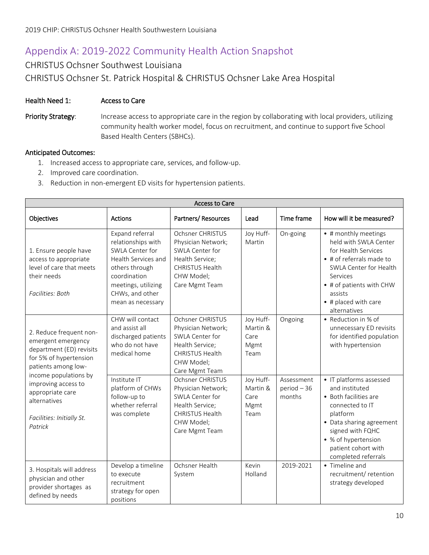# Appendix A: 2019-2022 Community Health Action Snapshot

### CHRISTUS Ochsner Southwest Louisiana CHRISTUS Ochsner St. Patrick Hospital & CHRISTUS Ochsner Lake Area Hospital

### Health Need 1: Access to Care

Priority Strategy: Increase access to appropriate care in the region by collaborating with local providers, utilizing community health worker model, focus on recruitment, and continue to support five School Based Health Centers (SBHCs).

- 1. Increased access to appropriate care, services, and follow-up.
- 2. Improved care coordination.
- 3. Reduction in non-emergent ED visits for hypertension patients.

| <b>Access to Care</b>                                                                                                      |                                                                                                                                                                                  |                                                                                                                                        |                                               |                                       |                                                                                                                                                                                                                        |  |
|----------------------------------------------------------------------------------------------------------------------------|----------------------------------------------------------------------------------------------------------------------------------------------------------------------------------|----------------------------------------------------------------------------------------------------------------------------------------|-----------------------------------------------|---------------------------------------|------------------------------------------------------------------------------------------------------------------------------------------------------------------------------------------------------------------------|--|
| Objectives                                                                                                                 | <b>Actions</b>                                                                                                                                                                   | Partners/Resources                                                                                                                     | Lead                                          | Time frame                            | How will it be measured?                                                                                                                                                                                               |  |
| 1. Ensure people have<br>access to appropriate<br>level of care that meets<br>their needs<br>Facilities: Both              | Expand referral<br>relationships with<br>SWLA Center for<br>Health Services and<br>others through<br>coordination<br>meetings, utilizing<br>CHWs, and other<br>mean as necessary | Ochsner CHRISTUS<br>Physician Network;<br>SWLA Center for<br>Health Service;<br><b>CHRISTUS Health</b><br>CHW Model:<br>Care Mgmt Team | Joy Huff-<br>Martin                           | On-going                              | • # monthly meetings<br>held with SWLA Center<br>for Health Services<br>• # of referrals made to<br>SWLA Center for Health<br>Services<br>• # of patients with CHW<br>assists<br>• # placed with care<br>alternatives  |  |
| 2. Reduce frequent non-<br>emergent emergency<br>department (ED) revisits<br>for 5% of hypertension<br>patients among low- | CHW will contact<br>and assist all<br>discharged patients<br>who do not have<br>medical home                                                                                     | Ochsner CHRISTUS<br>Physician Network;<br>SWLA Center for<br>Health Service;<br><b>CHRISTUS Health</b><br>CHW Model;<br>Care Mgmt Team | Joy Huff-<br>Martin &<br>Care<br>Mgmt<br>Team | Ongoing                               | • Reduction in % of<br>unnecessary ED revisits<br>for identified population<br>with hypertension                                                                                                                       |  |
| income populations by<br>improving access to<br>appropriate care<br>alternatives<br>Facilities: Initially St.<br>Patrick   | Institute IT<br>platform of CHWs<br>follow-up to<br>whether referral<br>was complete                                                                                             | Ochsner CHRISTUS<br>Physician Network;<br>SWLA Center for<br>Health Service:<br><b>CHRISTUS Health</b><br>CHW Model;<br>Care Mgmt Team | Joy Huff-<br>Martin &<br>Care<br>Mgmt<br>Team | Assessment<br>$period - 36$<br>months | • IT platforms assessed<br>and instituted<br>• Both facilities are<br>connected to IT<br>platform<br>• Data sharing agreement<br>signed with FQHC<br>• % of hypertension<br>patient cohort with<br>completed referrals |  |
| 3. Hospitals will address<br>physician and other<br>provider shortages as<br>defined by needs                              | Develop a timeline<br>to execute<br>recruitment<br>strategy for open<br>positions                                                                                                | Ochsner Health<br>System                                                                                                               | Kevin<br>Holland                              | 2019-2021                             | • Timeline and<br>recruitment/retention<br>strategy developed                                                                                                                                                          |  |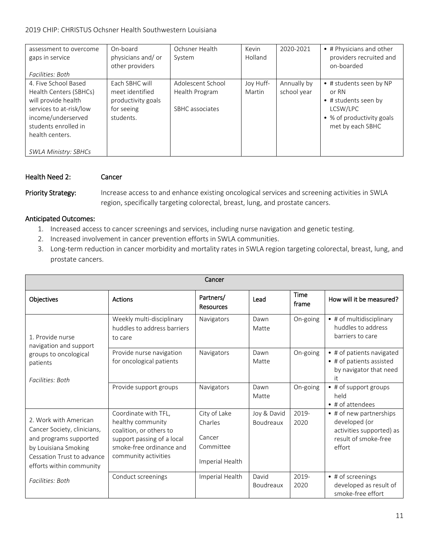### 2019 CHIP: CHRISTUS Ochsner Health Southwestern Louisiana

| assessment to overcome<br>gaps in service<br>Facilities: Both                                                                                                                                    | On-board<br>physicians and/or<br>other providers                                   | Ochsner Health<br>System                               | Kevin<br>Holland    | 2020-2021                  | • # Physicians and other<br>providers recruited and<br>on-boarded                                                     |
|--------------------------------------------------------------------------------------------------------------------------------------------------------------------------------------------------|------------------------------------------------------------------------------------|--------------------------------------------------------|---------------------|----------------------------|-----------------------------------------------------------------------------------------------------------------------|
| 4. Five School Based<br>Health Centers (SBHCs)<br>will provide health<br>services to at-risk/low<br>income/underserved<br>students enrolled in<br>health centers.<br><b>SWLA Ministry: SBHCs</b> | Each SBHC will<br>meet identified<br>productivity goals<br>for seeing<br>students. | Adolescent School<br>Health Program<br>SBHC associates | Joy Huff-<br>Martin | Annually by<br>school year | • # students seen by NP<br>or RN<br>• # students seen by<br>LCSW/LPC<br>• % of productivity goals<br>met by each SBHC |

### Health Need 2: Cancer

Priority Strategy: Increase access to and enhance existing oncological services and screening activities in SWLA region, specifically targeting colorectal, breast, lung, and prostate cancers.

- 1. Increased access to cancer screenings and services, including nurse navigation and genetic testing.
- 2. Increased involvement in cancer prevention efforts in SWLA communities.
- 3. Long-term reduction in cancer morbidity and mortality rates in SWLA region targeting colorectal, breast, lung, and prostate cancers.

| Cancer                                                                                                                                                           |                                                                                                                                                        |                                                                   |                          |               |                                                                                                        |  |
|------------------------------------------------------------------------------------------------------------------------------------------------------------------|--------------------------------------------------------------------------------------------------------------------------------------------------------|-------------------------------------------------------------------|--------------------------|---------------|--------------------------------------------------------------------------------------------------------|--|
| Objectives                                                                                                                                                       | Actions                                                                                                                                                | Partners/<br><b>Resources</b>                                     | Lead                     | Time<br>frame | How will it be measured?                                                                               |  |
| 1. Provide nurse<br>navigation and support                                                                                                                       | Weekly multi-disciplinary<br>huddles to address barriers<br>to care                                                                                    | Navigators                                                        | Dawn<br>Matte            | On-going      | • # of multidisciplinary<br>huddles to address<br>barriers to care                                     |  |
| groups to oncological<br>patients<br>Facilities: Both                                                                                                            | Provide nurse navigation<br>for oncological patients                                                                                                   | Navigators                                                        | Dawn<br>Matte            | On-going      | • # of patients navigated<br>• # of patients assisted<br>by navigator that need<br>it                  |  |
|                                                                                                                                                                  | Provide support groups                                                                                                                                 | Navigators                                                        | Dawn<br>Matte            | On-going      | • # of support groups<br>held<br>$\bullet$ # of attendees                                              |  |
| 2. Work with American<br>Cancer Society, clinicians,<br>and programs supported<br>by Louisiana Smoking<br>Cessation Trust to advance<br>efforts within community | Coordinate with TFL.<br>healthy community<br>coalition, or others to<br>support passing of a local<br>smoke-free ordinance and<br>community activities | City of Lake<br>Charles<br>Cancer<br>Committee<br>Imperial Health | Joy & David<br>Boudreaux | 2019-<br>2020 | • # of new partnerships<br>developed (or<br>activities supported) as<br>result of smoke-free<br>effort |  |
| Facilities: Both                                                                                                                                                 | Conduct screenings                                                                                                                                     | Imperial Health                                                   | David<br>Boudreaux       | 2019-<br>2020 | • # of screenings<br>developed as result of<br>smoke-free effort                                       |  |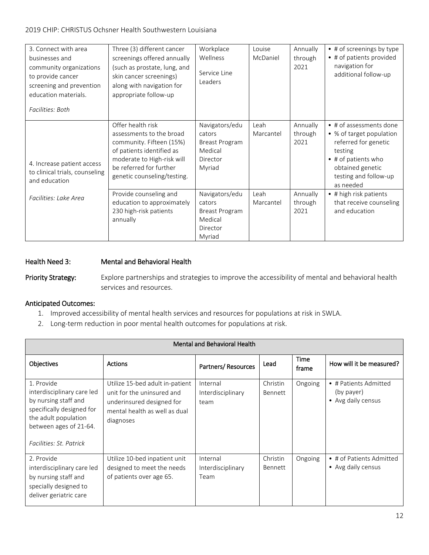### 2019 CHIP: CHRISTUS Ochsner Health Southwestern Louisiana

| 3. Connect with area<br>businesses and<br>community organizations<br>to provide cancer<br>screening and prevention<br>education materials.<br>Facilities: Both | Three (3) different cancer<br>screenings offered annually<br>(such as prostate, lung, and<br>skin cancer screenings)<br>along with navigation for<br>appropriate follow-up                     | Workplace<br>Wellness<br>Service Line<br>Leaders                            | Louise<br>McDaniel | Annually<br>through<br>2021 | • # of screenings by type<br>• # of patients provided<br>navigation for<br>additional follow-up                                                                                 |
|----------------------------------------------------------------------------------------------------------------------------------------------------------------|------------------------------------------------------------------------------------------------------------------------------------------------------------------------------------------------|-----------------------------------------------------------------------------|--------------------|-----------------------------|---------------------------------------------------------------------------------------------------------------------------------------------------------------------------------|
| 4. Increase patient access<br>to clinical trials, counseling<br>and education                                                                                  | Offer health risk<br>assessments to the broad<br>community. Fifteen (15%)<br>of patients identified as<br>moderate to High-risk will<br>be referred for further<br>genetic counseling/testing. | Navigators/edu<br>cators<br>Breast Program<br>Medical<br>Director<br>Myriad | Leah<br>Marcantel  | Annually<br>through<br>2021 | • # of assessments done<br>• % of target population<br>referred for genetic<br>testing<br>$\bullet$ # of patients who<br>obtained genetic<br>testing and follow-up<br>as needed |
| Facilities: Lake Area                                                                                                                                          | Provide counseling and<br>education to approximately<br>230 high-risk patients<br>annually                                                                                                     | Navigators/edu<br>cators<br>Breast Program<br>Medical<br>Director<br>Myriad | Leah<br>Marcantel  | Annually<br>through<br>2021 | • # high risk patients<br>that receive counseling<br>and education                                                                                                              |

### Health Need 3: Mental and Behavioral Health

Priority Strategy: Explore partnerships and strategies to improve the accessibility of mental and behavioral health services and resources.

- 1. Improved accessibility of mental health services and resources for populations at risk in SWLA.
- 2. Long-term reduction in poor mental health outcomes for populations at risk.

| Mental and Behavioral Health                                                                                                                                               |                                                                                                                                          |                                       |                     |               |                                                           |  |
|----------------------------------------------------------------------------------------------------------------------------------------------------------------------------|------------------------------------------------------------------------------------------------------------------------------------------|---------------------------------------|---------------------|---------------|-----------------------------------------------------------|--|
| <b>Objectives</b>                                                                                                                                                          | <b>Actions</b>                                                                                                                           | Partners/Resources                    | Lead                | Time<br>frame | How will it be measured?                                  |  |
| 1. Provide<br>interdisciplinary care led<br>by nursing staff and<br>specifically designed for<br>the adult population<br>between ages of 21-64.<br>Facilities: St. Patrick | Utilize 15-bed adult in-patient<br>unit for the uninsured and<br>underinsured designed for<br>mental health as well as dual<br>diagnoses | Internal<br>Interdisciplinary<br>team | Christin<br>Bennett | Ongoing       | • # Patients Admitted<br>(by payer)<br>• Avg daily census |  |
| 2. Provide<br>interdisciplinary care led<br>by nursing staff and<br>specially designed to<br>deliver geriatric care                                                        | Utilize 10-bed inpatient unit<br>designed to meet the needs<br>of patients over age 65.                                                  | Internal<br>Interdisciplinary<br>Team | Christin<br>Bennett | Ongoing       | • # of Patients Admitted<br>• Avg daily census            |  |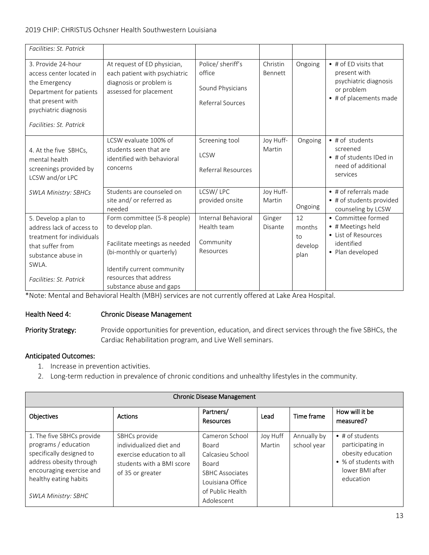### 2019 CHIP: CHRISTUS Ochsner Health Southwestern Louisiana

| At request of ED physician,<br>each patient with psychiatric<br>diagnosis or problem is<br>assessed for placement                                                     | Police/ sheriff's<br>office<br>Sound Physicians<br>Referral Sources | Christin<br>Bennett | Ongoing                               | $\bullet$ # of ED visits that<br>present with<br>psychiatric diagnosis<br>or problem<br>• # of placements made |
|-----------------------------------------------------------------------------------------------------------------------------------------------------------------------|---------------------------------------------------------------------|---------------------|---------------------------------------|----------------------------------------------------------------------------------------------------------------|
| LCSW evaluate 100% of<br>students seen that are<br>identified with behavioral<br>concerns                                                                             | Screening tool<br><b>LCSW</b><br>Referral Resources                 | Joy Huff-<br>Martin | Ongoing                               | • # of students<br>screened<br>• # of students IDed in<br>need of additional<br>services                       |
| Students are counseled on<br>site and/ or referred as<br>needed                                                                                                       | LCSW/LPC<br>provided onsite                                         | Joy Huff-<br>Martin | Ongoing                               | $\bullet$ # of referrals made<br>• # of students provided<br>counseling by LCSW                                |
| Form committee (5-8 people)<br>to develop plan.<br>Facilitate meetings as needed<br>(bi-monthly or quarterly)<br>Identify current community<br>resources that address | Internal Behavioral<br>Health team<br>Community<br>Resources        | Ginger<br>Disante   | 12<br>months<br>to<br>develop<br>plan | • Committee formed<br>• # Meetings held<br>• List of Resources<br>identified<br>• Plan developed               |
|                                                                                                                                                                       | substance abuse and gaps                                            |                     |                                       |                                                                                                                |

\*Note: Mental and Behavioral Health (MBH) services are not currently offered at Lake Area Hospital.

### Health Need 4: Chronic Disease Management

Priority Strategy: Provide opportunities for prevention, education, and direct services through the five SBHCs, the Cardiac Rehabilitation program, and Live Well seminars.

- 1. Increase in prevention activities.
- 2. Long-term reduction in prevalence of chronic conditions and unhealthy lifestyles in the community.

| <b>Chronic Disease Management</b>                                                                                                                                                           |                                                                                                                        |                                                                                                                                             |                    |                            |                                                                                                                          |
|---------------------------------------------------------------------------------------------------------------------------------------------------------------------------------------------|------------------------------------------------------------------------------------------------------------------------|---------------------------------------------------------------------------------------------------------------------------------------------|--------------------|----------------------------|--------------------------------------------------------------------------------------------------------------------------|
| Objectives                                                                                                                                                                                  | <b>Actions</b>                                                                                                         | Partners/<br><b>Resources</b>                                                                                                               | Lead               | Time frame                 | How will it be<br>measured?                                                                                              |
| 1. The five SBHCs provide<br>programs / education<br>specifically designed to<br>address obesity through<br>encouraging exercise and<br>healthy eating habits<br><b>SWLA Ministry: SBHC</b> | SBHCs provide<br>individualized diet and<br>exercise education to all<br>students with a BMI score<br>of 35 or greater | Cameron School<br>Board<br>Calcasieu School<br><b>Board</b><br><b>SBHC Associates</b><br>Louisiana Office<br>of Public Health<br>Adolescent | Joy Huff<br>Martin | Annually by<br>school year | $\bullet$ # of students<br>participating in<br>obesity education<br>• % of students with<br>lower BMI after<br>education |